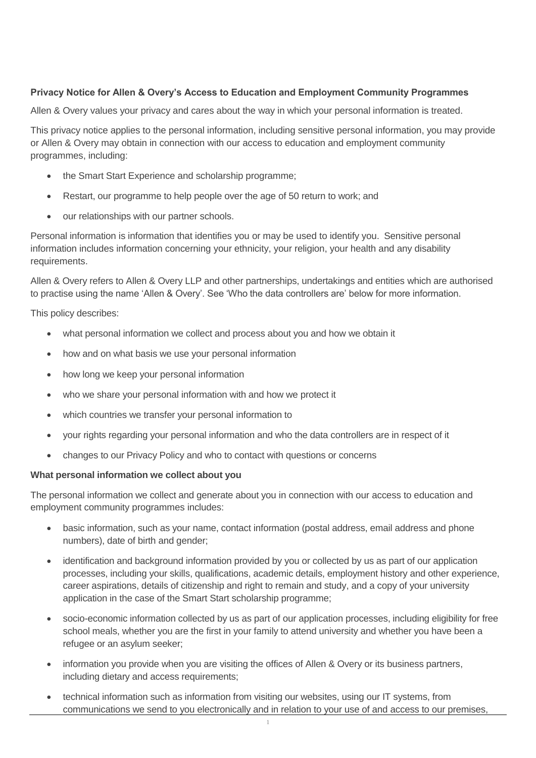# **Privacy Notice for Allen & Overy's Access to Education and Employment Community Programmes**

Allen & Overy values your privacy and cares about the way in which your personal information is treated.

This privacy notice applies to the personal information, including sensitive personal information, you may provide or Allen & Overy may obtain in connection with our access to education and employment community programmes, including:

- the Smart Start Experience and scholarship programme;
- Restart, our programme to help people over the age of 50 return to work; and
- our relationships with our partner schools.

Personal information is information that identifies you or may be used to identify you. Sensitive personal information includes information concerning your ethnicity, your religion, your health and any disability requirements.

Allen & Overy refers to Allen & Overy LLP and other partnerships, undertakings and entities which are authorised to practise using the name 'Allen & Overy'. See 'Who the data controllers are' below for more information.

This policy describes:

- what personal information we collect and process about you and how we obtain it
- how and on what basis we use your personal information
- how long we keep your personal information
- who we share your personal information with and how we protect it
- which countries we transfer your personal information to
- your rights regarding your personal information and who the data controllers are in respect of it
- changes to our Privacy Policy and who to contact with questions or concerns

#### **What personal information we collect about you**

The personal information we collect and generate about you in connection with our access to education and employment community programmes includes:

- basic information, such as your name, contact information (postal address, email address and phone numbers), date of birth and gender;
- identification and background information provided by you or collected by us as part of our application processes, including your skills, qualifications, academic details, employment history and other experience, career aspirations, details of citizenship and right to remain and study, and a copy of your university application in the case of the Smart Start scholarship programme;
- socio-economic information collected by us as part of our application processes, including eligibility for free school meals, whether you are the first in your family to attend university and whether you have been a refugee or an asylum seeker;
- information you provide when you are visiting the offices of Allen & Overy or its business partners, including dietary and access requirements;
- technical information such as information from visiting our websites, using our IT systems, from communications we send to you electronically and in relation to your use of and access to our premises,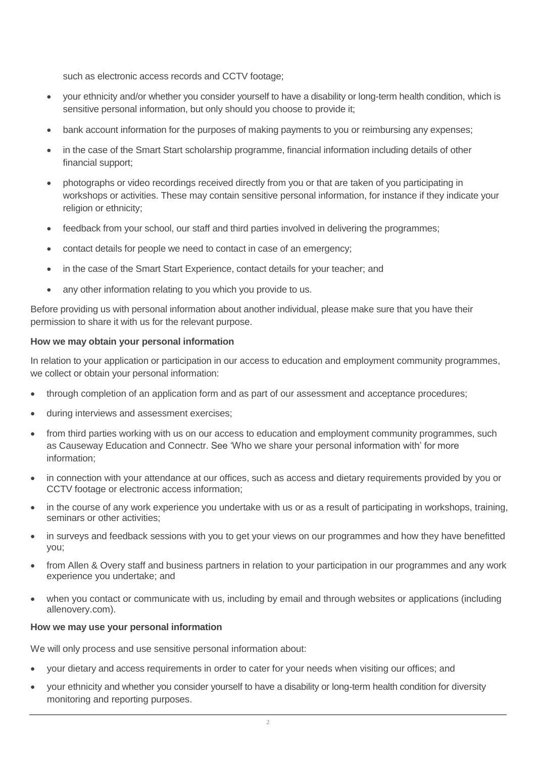such as electronic access records and CCTV footage;

- your ethnicity and/or whether you consider yourself to have a disability or long-term health condition, which is sensitive personal information, but only should you choose to provide it;
- bank account information for the purposes of making payments to you or reimbursing any expenses;
- in the case of the Smart Start scholarship programme, financial information including details of other financial support;
- photographs or video recordings received directly from you or that are taken of you participating in workshops or activities. These may contain sensitive personal information, for instance if they indicate your religion or ethnicity;
- feedback from your school, our staff and third parties involved in delivering the programmes;
- contact details for people we need to contact in case of an emergency;
- in the case of the Smart Start Experience, contact details for your teacher; and
- any other information relating to you which you provide to us.

Before providing us with personal information about another individual, please make sure that you have their permission to share it with us for the relevant purpose.

# **How we may obtain your personal information**

In relation to your application or participation in our access to education and employment community programmes, we collect or obtain your personal information:

- through completion of an application form and as part of our assessment and acceptance procedures;
- during interviews and assessment exercises;
- from third parties working with us on our access to education and employment community programmes, such as Causeway Education and Connectr. See 'Who we share your personal information with' for more information;
- in connection with your attendance at our offices, such as access and dietary requirements provided by you or CCTV footage or electronic access information;
- in the course of any work experience you undertake with us or as a result of participating in workshops, training, seminars or other activities:
- in surveys and feedback sessions with you to get your views on our programmes and how they have benefitted you;
- from Allen & Overy staff and business partners in relation to your participation in our programmes and any work experience you undertake; and
- when you contact or communicate with us, including by email and through websites or applications (including allenovery.com).

# **How we may use your personal information**

We will only process and use sensitive personal information about:

- your dietary and access requirements in order to cater for your needs when visiting our offices; and
- your ethnicity and whether you consider yourself to have a disability or long-term health condition for diversity monitoring and reporting purposes.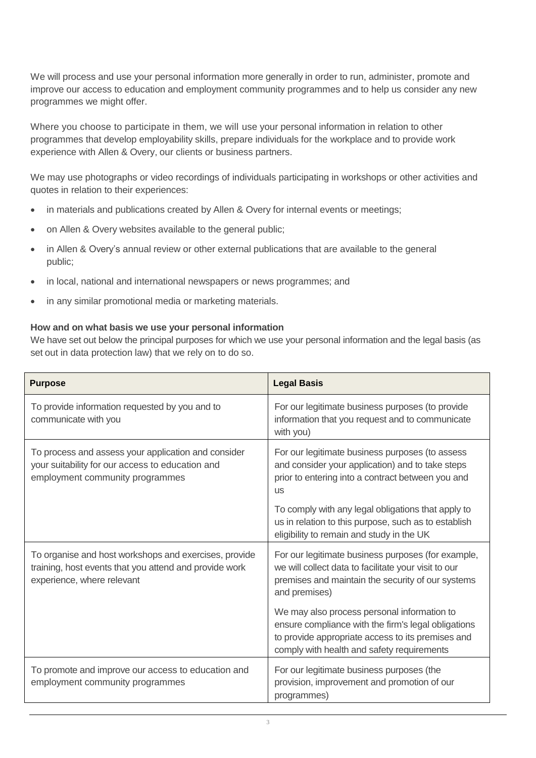We will process and use your personal information more generally in order to run, administer, promote and improve our access to education and employment community programmes and to help us consider any new programmes we might offer.

Where you choose to participate in them, we will use your personal information in relation to other programmes that develop employability skills, prepare individuals for the workplace and to provide work experience with Allen & Overy, our clients or business partners.

We may use photographs or video recordings of individuals participating in workshops or other activities and quotes in relation to their experiences:

- in materials and publications created by Allen & Overy for internal events or meetings;
- on Allen & Overy websites available to the general public;
- in Allen & Overy's annual review or other external publications that are available to the general public;
- in local, national and international newspapers or news programmes; and
- in any similar promotional media or marketing materials.

# **How and on what basis we use your personal information**

We have set out below the principal purposes for which we use your personal information and the legal basis (as set out in data protection law) that we rely on to do so.

| <b>Purpose</b>                                                                                                                                | <b>Legal Basis</b>                                                                                                                                                                                    |
|-----------------------------------------------------------------------------------------------------------------------------------------------|-------------------------------------------------------------------------------------------------------------------------------------------------------------------------------------------------------|
| To provide information requested by you and to<br>communicate with you                                                                        | For our legitimate business purposes (to provide<br>information that you request and to communicate<br>with you)                                                                                      |
| To process and assess your application and consider<br>your suitability for our access to education and<br>employment community programmes    | For our legitimate business purposes (to assess<br>and consider your application) and to take steps<br>prior to entering into a contract between you and<br><b>US</b>                                 |
|                                                                                                                                               | To comply with any legal obligations that apply to<br>us in relation to this purpose, such as to establish<br>eligibility to remain and study in the UK                                               |
| To organise and host workshops and exercises, provide<br>training, host events that you attend and provide work<br>experience, where relevant | For our legitimate business purposes (for example,<br>we will collect data to facilitate your visit to our<br>premises and maintain the security of our systems<br>and premises)                      |
|                                                                                                                                               | We may also process personal information to<br>ensure compliance with the firm's legal obligations<br>to provide appropriate access to its premises and<br>comply with health and safety requirements |
| To promote and improve our access to education and<br>employment community programmes                                                         | For our legitimate business purposes (the<br>provision, improvement and promotion of our<br>programmes)                                                                                               |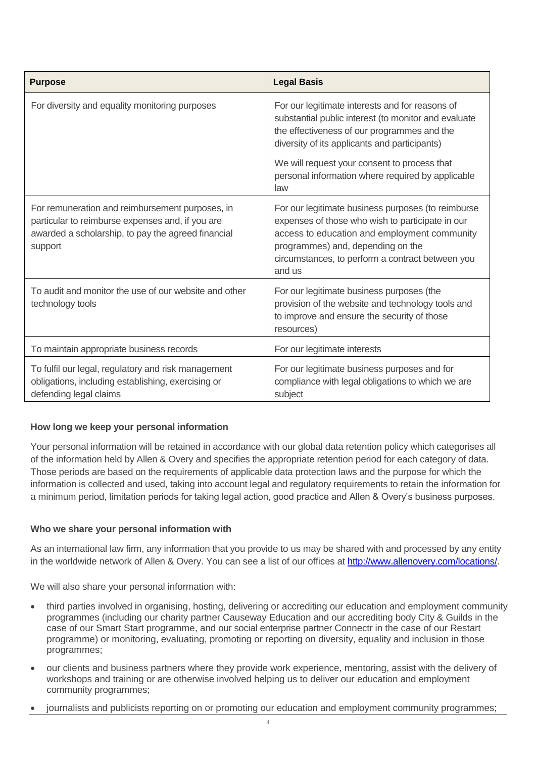| <b>Purpose</b>                                                                                                                                                       | <b>Legal Basis</b>                                                                                                                                                                                                                                        |
|----------------------------------------------------------------------------------------------------------------------------------------------------------------------|-----------------------------------------------------------------------------------------------------------------------------------------------------------------------------------------------------------------------------------------------------------|
| For diversity and equality monitoring purposes                                                                                                                       | For our legitimate interests and for reasons of<br>substantial public interest (to monitor and evaluate<br>the effectiveness of our programmes and the<br>diversity of its applicants and participants)                                                   |
|                                                                                                                                                                      | We will request your consent to process that<br>personal information where required by applicable<br>law                                                                                                                                                  |
| For remuneration and reimbursement purposes, in<br>particular to reimburse expenses and, if you are<br>awarded a scholarship, to pay the agreed financial<br>support | For our legitimate business purposes (to reimburse<br>expenses of those who wish to participate in our<br>access to education and employment community<br>programmes) and, depending on the<br>circumstances, to perform a contract between you<br>and us |
| To audit and monitor the use of our website and other<br>technology tools                                                                                            | For our legitimate business purposes (the<br>provision of the website and technology tools and<br>to improve and ensure the security of those<br>resources)                                                                                               |
| To maintain appropriate business records                                                                                                                             | For our legitimate interests                                                                                                                                                                                                                              |
| To fulfil our legal, regulatory and risk management<br>obligations, including establishing, exercising or<br>defending legal claims                                  | For our legitimate business purposes and for<br>compliance with legal obligations to which we are<br>subject                                                                                                                                              |

# **How long we keep your personal information**

Your personal information will be retained in accordance with our global data retention policy which categorises all of the information held by Allen & Overy and specifies the appropriate retention period for each category of data. Those periods are based on the requirements of applicable data protection laws and the purpose for which the information is collected and used, taking into account legal and regulatory requirements to retain the information for a minimum period, limitation periods for taking legal action, good practice and Allen & Overy's business purposes.

# **Who we share your personal information with**

As an international law firm, any information that you provide to us may be shared with and processed by any entity in the worldwide network of Allen & Overy. You can see a list of our offices at [http://www.allenovery.com/locations/.](http://www.allenovery.com/locations/)

We will also share your personal information with:

- third parties involved in organising, hosting, delivering or accrediting our education and employment community programmes (including our charity partner Causeway Education and our accrediting body City & Guilds in the case of our Smart Start programme, and our social enterprise partner Connectr in the case of our Restart programme) or monitoring, evaluating, promoting or reporting on diversity, equality and inclusion in those programmes;
- our clients and business partners where they provide work experience, mentoring, assist with the delivery of workshops and training or are otherwise involved helping us to deliver our education and employment community programmes;
- journalists and publicists reporting on or promoting our education and employment community programmes;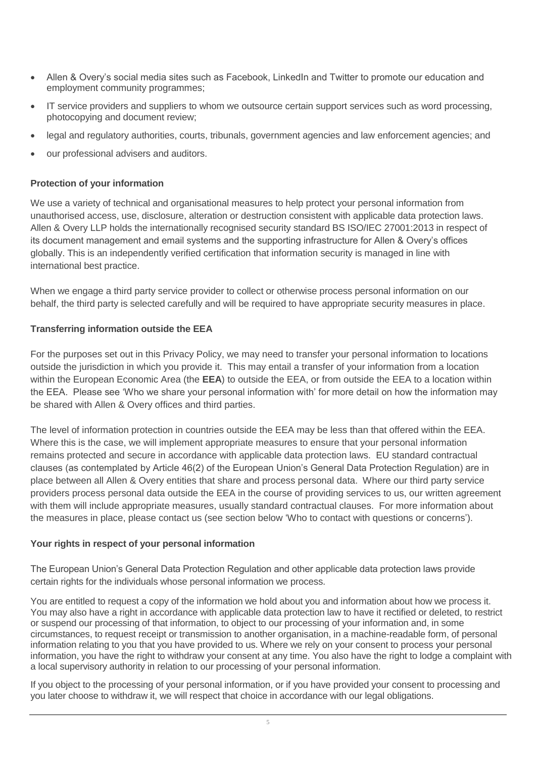- Allen & Overy's social media sites such as Facebook, LinkedIn and Twitter to promote our education and employment community programmes;
- IT service providers and suppliers to whom we outsource certain support services such as word processing, photocopying and document review;
- legal and regulatory authorities, courts, tribunals, government agencies and law enforcement agencies; and
- our professional advisers and auditors.

### **Protection of your information**

We use a variety of technical and organisational measures to help protect your personal information from unauthorised access, use, disclosure, alteration or destruction consistent with applicable data protection laws. Allen & Overy LLP holds the internationally recognised security standard BS ISO/IEC 27001:2013 in respect of its document management and email systems and the supporting infrastructure for Allen & Overy's offices globally. This is an independently verified certification that information security is managed in line with international best practice.

When we engage a third party service provider to collect or otherwise process personal information on our behalf, the third party is selected carefully and will be required to have appropriate security measures in place.

#### **Transferring information outside the EEA**

For the purposes set out in this Privacy Policy, we may need to transfer your personal information to locations outside the jurisdiction in which you provide it. This may entail a transfer of your information from a location within the European Economic Area (the **EEA**) to outside the EEA, or from outside the EEA to a location within the EEA. Please see 'Who we share your personal information with' for more detail on how the information may be shared with Allen & Overy offices and third parties.

The level of information protection in countries outside the EEA may be less than that offered within the EEA. Where this is the case, we will implement appropriate measures to ensure that your personal information remains protected and secure in accordance with applicable data protection laws. EU standard contractual clauses (as contemplated by Article 46(2) of the European Union's General Data Protection Regulation) are in place between all Allen & Overy entities that share and process personal data. Where our third party service providers process personal data outside the EEA in the course of providing services to us, our written agreement with them will include appropriate measures, usually standard contractual clauses. For more information about the measures in place, please contact us (see section below 'Who to contact with questions or concerns').

# **Your rights in respect of your personal information**

The European Union's General Data Protection Regulation and other applicable data protection laws provide certain rights for the individuals whose personal information we process.

You are entitled to request a copy of the information we hold about you and information about how we process it. You may also have a right in accordance with applicable data protection law to have it rectified or deleted, to restrict or suspend our processing of that information, to object to our processing of your information and, in some circumstances, to request receipt or transmission to another organisation, in a machine-readable form, of personal information relating to you that you have provided to us. Where we rely on your consent to process your personal information, you have the right to withdraw your consent at any time. You also have the right to lodge a complaint with a local supervisory authority in relation to our processing of your personal information.

If you object to the processing of your personal information, or if you have provided your consent to processing and you later choose to withdraw it, we will respect that choice in accordance with our legal obligations.